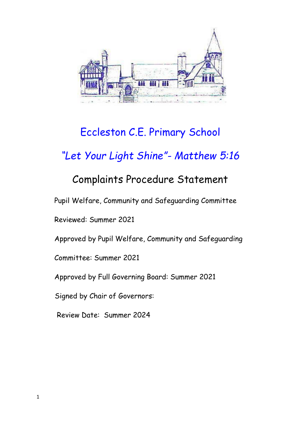

# Eccleston C.E. Primary School

## *"Let Your Light Shine"- Matthew 5:16*

## Complaints Procedure Statement

Pupil Welfare, Community and Safeguarding Committee

Reviewed: Summer 2021

Approved by Pupil Welfare, Community and Safeguarding

Committee: Summer 2021

Approved by Full Governing Board: Summer 2021

Signed by Chair of Governors:

Review Date: Summer 2024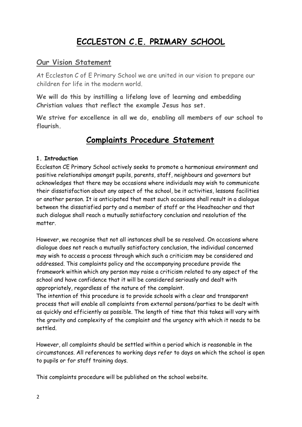### **ECCLESTON C.E. PRIMARY SCHOOL**

#### **Our Vision Statement**

At Eccleston C of E Primary School we are united in our vision to prepare our children for life in the modern world.

**We will do this by instilling a lifelong love of learning and embedding Christian values that reflect the example Jesus has set.**

**We strive for excellence in all we do, enabling all members of our school to flourish.**

### **Complaints Procedure Statement**

#### **1. Introduction**

Eccleston CE Primary School actively seeks to promote a harmonious environment and positive relationships amongst pupils, parents, staff, neighbours and governors but acknowledges that there may be occasions where individuals may wish to communicate their dissatisfaction about any aspect of the school, be it activities, lessons facilities or another person. It is anticipated that most such occasions shall result in a dialogue between the dissatisfied party and a member of staff or the Headteacher and that such dialogue shall reach a mutually satisfactory conclusion and resolution of the matter.

However, we recognise that not all instances shall be so resolved. On occasions where dialogue does not reach a mutually satisfactory conclusion, the individual concerned may wish to access a process through which such a criticism may be considered and addressed. This complaints policy and the accompanying procedure provide the framework within which any person may raise a criticism related to any aspect of the school and have confidence that it will be considered seriously and dealt with appropriately, regardless of the nature of the complaint.

The intention of this procedure is to provide schools with a clear and transparent process that will enable all complaints from external persons/parties to be dealt with as quickly and efficiently as possible. The length of time that this takes will vary with the gravity and complexity of the complaint and the urgency with which it needs to be settled.

However, all complaints should be settled within a period which is reasonable in the circumstances. All references to working days refer to days on which the school is open to pupils or for staff training days.

This complaints procedure will be published on the school website.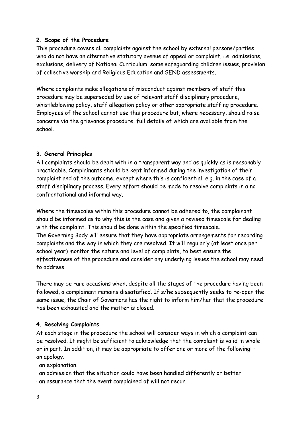#### **2. Scope of the Procedure**

This procedure covers all complaints against the school by external persons/parties who do not have an alternative statutory avenue of appeal or complaint, i.e. admissions, exclusions, delivery of National Curriculum, some safeguarding children issues, provision of collective worship and Religious Education and SEND assessments.

Where complaints make allegations of misconduct against members of staff this procedure may be superseded by use of relevant staff disciplinary procedure, whistleblowing policy, staff allegation policy or other appropriate staffing procedure. Employees of the school cannot use this procedure but, where necessary, should raise concerns via the grievance procedure, full details of which are available from the school.

#### **3. General Principles**

All complaints should be dealt with in a transparent way and as quickly as is reasonably practicable. Complainants should be kept informed during the investigation of their complaint and of the outcome, except where this is confidential, e.g. in the case of a staff disciplinary process. Every effort should be made to resolve complaints in a no confrontational and informal way.

Where the timescales within this procedure cannot be adhered to, the complainant should be informed as to why this is the case and given a revised timescale for dealing with the complaint. This should be done within the specified timescale. The Governing Body will ensure that they have appropriate arrangements for recording complaints and the way in which they are resolved. It will regularly (at least once per school year) monitor the nature and level of complaints, to best ensure the effectiveness of the procedure and consider any underlying issues the school may need to address.

There may be rare occasions when, despite all the stages of the procedure having been followed, a complainant remains dissatisfied. If s/he subsequently seeks to re-open the same issue, the Chair of Governors has the right to inform him/her that the procedure has been exhausted and the matter is closed.

#### **4. Resolving Complaints**

At each stage in the procedure the school will consider ways in which a complaint can be resolved. It might be sufficient to acknowledge that the complaint is valid in whole or in part. In addition, it may be appropriate to offer one or more of the following: · an apology.

· an explanation.

· an admission that the situation could have been handled differently or better.

· an assurance that the event complained of will not recur.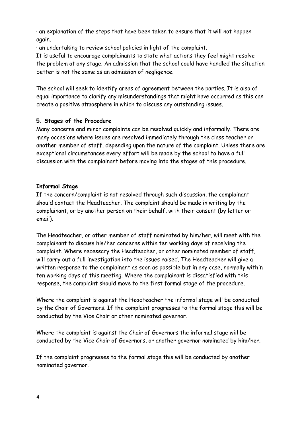· an explanation of the steps that have been taken to ensure that it will not happen again.

· an undertaking to review school policies in light of the complaint.

It is useful to encourage complainants to state what actions they feel might resolve the problem at any stage. An admission that the school could have handled the situation better is not the same as an admission of negligence.

The school will seek to identify areas of agreement between the parties. It is also of equal importance to clarify any misunderstandings that might have occurred as this can create a positive atmosphere in which to discuss any outstanding issues.

#### **5. Stages of the Procedure**

Many concerns and minor complaints can be resolved quickly and informally. There are many occasions where issues are resolved immediately through the class teacher or another member of staff, depending upon the nature of the complaint. Unless there are exceptional circumstances every effort will be made by the school to have a full discussion with the complainant before moving into the stages of this procedure.

#### **Informal Stage**

If the concern/complaint is not resolved through such discussion, the complainant should contact the Headteacher. The complaint should be made in writing by the complainant, or by another person on their behalf, with their consent (by letter or email).

The Headteacher, or other member of staff nominated by him/her, will meet with the complainant to discuss his/her concerns within ten working days of receiving the complaint. Where necessary the Headteacher, or other nominated member of staff, will carry out a full investigation into the issues raised. The Headteacher will give a written response to the complainant as soon as possible but in any case, normally within ten working days of this meeting. Where the complainant is dissatisfied with this response, the complaint should move to the first formal stage of the procedure.

Where the complaint is against the Headteacher the informal stage will be conducted by the Chair of Governors. If the complaint progresses to the formal stage this will be conducted by the Vice Chair or other nominated governor.

Where the complaint is against the Chair of Governors the informal stage will be conducted by the Vice Chair of Governors, or another governor nominated by him/her.

If the complaint progresses to the formal stage this will be conducted by another nominated governor.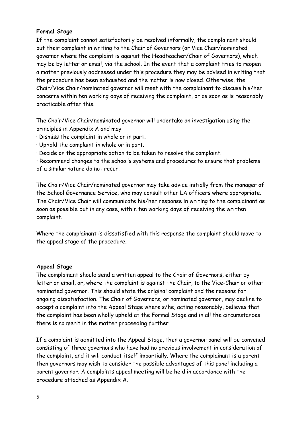#### **Formal Stage**

If the complaint cannot satisfactorily be resolved informally, the complainant should put their complaint in writing to the Chair of Governors (or Vice Chair/nominated governor where the complaint is against the Headteacher/Chair of Governors), which may be by letter or email, via the school. In the event that a complaint tries to reopen a matter previously addressed under this procedure they may be advised in writing that the procedure has been exhausted and the matter is now closed. Otherwise, the Chair/Vice Chair/nominated governor will meet with the complainant to discuss his/her concerns within ten working days of receiving the complaint, or as soon as is reasonably practicable after this.

The Chair/Vice Chair/nominated governor will undertake an investigation using the principles in Appendix A and may

- · Dismiss the complaint in whole or in part.
- · Uphold the complaint in whole or in part.

· Decide on the appropriate action to be taken to resolve the complaint.

· Recommend changes to the school's systems and procedures to ensure that problems of a similar nature do not recur.

The Chair/Vice Chair/nominated governor may take advice initially from the manager of the School Governance Service, who may consult other LA officers where appropriate. The Chair/Vice Chair will communicate his/her response in writing to the complainant as soon as possible but in any case, within ten working days of receiving the written complaint.

Where the complainant is dissatisfied with this response the complaint should move to the appeal stage of the procedure.

#### **Appeal Stage**

The complainant should send a written appeal to the Chair of Governors, either by letter or email, or, where the complaint is against the Chair, to the Vice-Chair or other nominated governor. This should state the original complaint and the reasons for ongoing dissatisfaction. The Chair of Governors, or nominated governor, may decline to accept a complaint into the Appeal Stage where s/he, acting reasonably, believes that the complaint has been wholly upheld at the Formal Stage and in all the circumstances there is no merit in the matter proceeding further

If a complaint is admitted into the Appeal Stage, then a governor panel will be convened consisting of three governors who have had no previous involvement in consideration of the complaint, and it will conduct itself impartially. Where the complainant is a parent then governors may wish to consider the possible advantages of this panel including a parent governor. A complaints appeal meeting will be held in accordance with the procedure attached as Appendix A.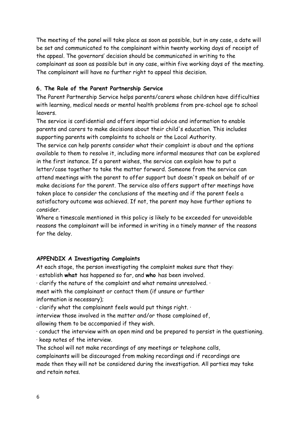The meeting of the panel will take place as soon as possible, but in any case, a date will be set and communicated to the complainant within twenty working days of receipt of the appeal. The governors' decision should be communicated in writing to the complainant as soon as possible but in any case, within five working days of the meeting. The complainant will have no further right to appeal this decision.

#### **6. The Role of the Parent Partnership Service**

The Parent Partnership Service helps parents/carers whose children have difficulties with learning, medical needs or mental health problems from pre-school age to school leavers.

The service is confidential and offers impartial advice and information to enable parents and carers to make decisions about their child's education. This includes supporting parents with complaints to schools or the Local Authority.

The service can help parents consider what their complaint is about and the options available to them to resolve it, including more informal measures that can be explored in the first instance. If a parent wishes, the service can explain how to put a letter/case together to take the matter forward. Someone from the service can attend meetings with the parent to offer support but doesn't speak on behalf of or make decisions for the parent. The service also offers support after meetings have taken place to consider the conclusions of the meeting and if the parent feels a satisfactory outcome was achieved. If not, the parent may have further options to consider.

Where a timescale mentioned in this policy is likely to be exceeded for unavoidable reasons the complainant will be informed in writing in a timely manner of the reasons for the delay.

#### **APPENDIX A Investigating Complaints**

At each stage, the person investigating the complaint makes sure that they:

· establish **what** has happened so far, and **who** has been involved.

 $\cdot$  clarify the nature of the complaint and what remains unresolved.  $\cdot$ 

meet with the complainant or contact them (if unsure or further information is necessary);

 $\cdot$  clarify what the complainant feels would put things right.  $\cdot$ 

interview those involved in the matter and/or those complained of, allowing them to be accompanied if they wish.

· conduct the interview with an open mind and be prepared to persist in the questioning. · keep notes of the interview.

The school will not make recordings of any meetings or telephone calls,

complainants will be discouraged from making recordings and if recordings are made then they will not be considered during the investigation. All parties may take and retain notes.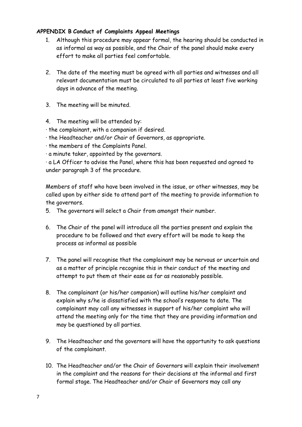#### **APPENDIX B Conduct of Complaints Appeal Meetings**

- 1. Although this procedure may appear formal, the hearing should be conducted in as informal as way as possible, and the Chair of the panel should make every effort to make all parties feel comfortable.
- 2. The date of the meeting must be agreed with all parties and witnesses and all relevant documentation must be circulated to all parties at least five working days in advance of the meeting.
- 3. The meeting will be minuted.
- 4. The meeting will be attended by:
- · the complainant, with a companion if desired.
- · the Headteacher and/or Chair of Governors, as appropriate.
- · the members of the Complaints Panel.
- · a minute taker, appointed by the governors.

· a LA Officer to advise the Panel, where this has been requested and agreed to under paragraph 3 of the procedure.

Members of staff who have been involved in the issue, or other witnesses, may be called upon by either side to attend part of the meeting to provide information to the governors.

- 5. The governors will select a Chair from amongst their number.
- 6. The Chair of the panel will introduce all the parties present and explain the procedure to be followed and that every effort will be made to keep the process as informal as possible
- 7. The panel will recognise that the complainant may be nervous or uncertain and as a matter of principle recognise this in their conduct of the meeting and attempt to put them at their ease as far as reasonably possible.
- 8. The complainant (or his/her companion) will outline his/her complaint and explain why s/he is dissatisfied with the school's response to date. The complainant may call any witnesses in support of his/her complaint who will attend the meeting only for the time that they are providing information and may be questioned by all parties.
- 9. The Headteacher and the governors will have the opportunity to ask questions of the complainant.
- 10. The Headteacher and/or the Chair of Governors will explain their involvement in the complaint and the reasons for their decisions at the informal and first formal stage. The Headteacher and/or Chair of Governors may call any